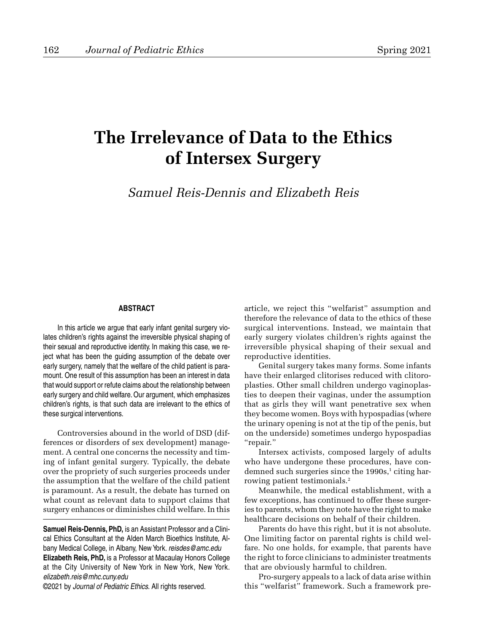## **The Irrelevance of Data to the Ethics of Intersex Surgery**

*Samuel Reis-Dennis and Elizabeth Reis*

## **ABSTRACT**

In this article we argue that early infant genital surgery violates children's rights against the irreversible physical shaping of their sexual and reproductive identity. In making this case, we reject what has been the guiding assumption of the debate over early surgery, namely that the welfare of the child patient is paramount. One result of this assumption has been an interest in data that would support or refute claims about the relationship between early surgery and child welfare. Our argument, which emphasizes children's rights, is that such data are irrelevant to the ethics of these surgical interventions.

Controversies abound in the world of DSD (differences or disorders of sex development) management. A central one concerns the necessity and timing of infant genital surgery. Typically, the debate over the propriety of such surgeries proceeds under the assumption that the welfare of the child patient is paramount. As a result, the debate has turned on what count as relevant data to support claims that surgery enhances or diminishes child welfare. In this

**Samuel Reis-Dennis, PhD,** is an Assistant Professor and a Clinical Ethics Consultant at the Alden March Bioethics Institute, Albany Medical College, in Albany, New York. reisdes@amc.edu **Elizabeth Reis, PhD,** is a Professor at Macaulay Honors College at the City University of New York in New York, New York. elizabeth.reis@mhc.cuny.edu

©2021 by Journal of Pediatric Ethics. All rights reserved.

article, we reject this "welfarist" assumption and therefore the relevance of data to the ethics of these surgical interventions. Instead, we maintain that early surgery violates children's rights against the irreversible physical shaping of their sexual and reproductive identities.

Genital surgery takes many forms. Some infants have their enlarged clitorises reduced with clitoroplasties. Other small children undergo vaginoplasties to deepen their vaginas, under the assumption that as girls they will want penetrative sex when they become women. Boys with hypospadias (where the urinary opening is not at the tip of the penis, but on the underside) sometimes undergo hypospadias "repair."

Intersex activists, composed largely of adults who have undergone these procedures, have condemned such surgeries since the 1990s,<sup>1</sup> citing harrowing patient testimonials.<sup>2</sup>

Meanwhile, the medical establishment, with a few exceptions, has continued to offer these surgeries to parents, whom they note have the right to make healthcare decisions on behalf of their children.

Parents do have this right, but it is not absolute. One limiting factor on parental rights is child welfare. No one holds, for example, that parents have the right to force clinicians to administer treatments that are obviously harmful to children.

Pro-surgery appeals to a lack of data arise within this "welfarist" framework. Such a framework pre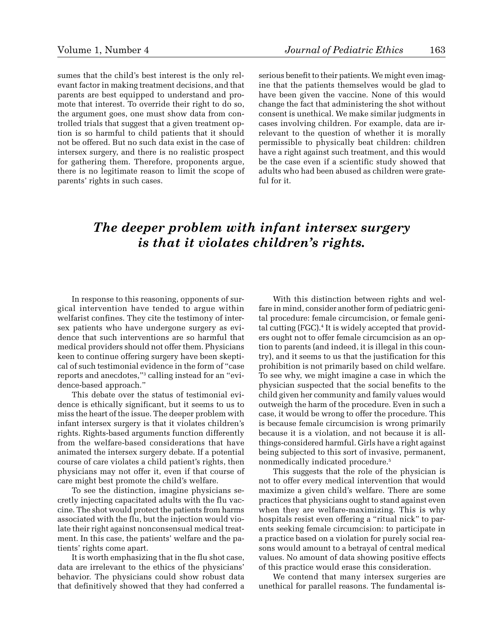sumes that the child's best interest is the only relevant factor in making treatment decisions, and that parents are best equipped to understand and promote that interest. To override their right to do so, the argument goes, one must show data from controlled trials that suggest that a given treatment option is so harmful to child patients that it should not be offered. But no such data exist in the case of intersex surgery, and there is no realistic prospect for gathering them. Therefore, proponents argue, there is no legitimate reason to limit the scope of parents' rights in such cases.

serious benefit to their patients. We might even imagine that the patients themselves would be glad to have been given the vaccine. None of this would change the fact that administering the shot without consent is unethical. We make similar judgments in cases involving children. For example, data are irrelevant to the question of whether it is morally permissible to physically beat children: children have a right against such treatment, and this would be the case even if a scientific study showed that adults who had been abused as children were grateful for it.

## *The deeper problem with infant intersex surgery is that it violates children's rights.*

In response to this reasoning, opponents of surgical intervention have tended to argue within welfarist confines. They cite the testimony of intersex patients who have undergone surgery as evidence that such interventions are so harmful that medical providers should not offer them. Physicians keen to continue offering surgery have been skeptical of such testimonial evidence in the form of "case reports and anecdotes,"3 calling instead for an "evidence-based approach."

This debate over the status of testimonial evidence is ethically significant, but it seems to us to miss the heart of the issue. The deeper problem with infant intersex surgery is that it violates children's rights. Rights-based arguments function differently from the welfare-based considerations that have animated the intersex surgery debate. If a potential course of care violates a child patient's rights, then physicians may not offer it, even if that course of care might best promote the child's welfare.

To see the distinction, imagine physicians secretly injecting capacitated adults with the flu vaccine. The shot would protect the patients from harms associated with the flu, but the injection would violate their right against nonconsensual medical treatment. In this case, the patients' welfare and the patients' rights come apart.

It is worth emphasizing that in the flu shot case, data are irrelevant to the ethics of the physicians' behavior. The physicians could show robust data that definitively showed that they had conferred a

With this distinction between rights and welfare in mind, consider another form of pediatric genital procedure: female circumcision, or female genital cutting (FGC).<sup>4</sup> It is widely accepted that providers ought not to offer female circumcision as an option to parents (and indeed, it is illegal in this country), and it seems to us that the justification for this prohibition is not primarily based on child welfare. To see why, we might imagine a case in which the physician suspected that the social benefits to the child given her community and family values would outweigh the harm of the procedure. Even in such a case, it would be wrong to offer the procedure. This is because female circumcision is wrong primarily because it is a violation, and not because it is allthings-considered harmful. Girls have a right against being subjected to this sort of invasive, permanent, nonmedically indicated procedure.5

This suggests that the role of the physician is not to offer every medical intervention that would maximize a given child's welfare. There are some practices that physicians ought to stand against even when they are welfare-maximizing. This is why hospitals resist even offering a "ritual nick" to parents seeking female circumcision: to participate in a practice based on a violation for purely social reasons would amount to a betrayal of central medical values. No amount of data showing positive effects of this practice would erase this consideration.

We contend that many intersex surgeries are unethical for parallel reasons. The fundamental is